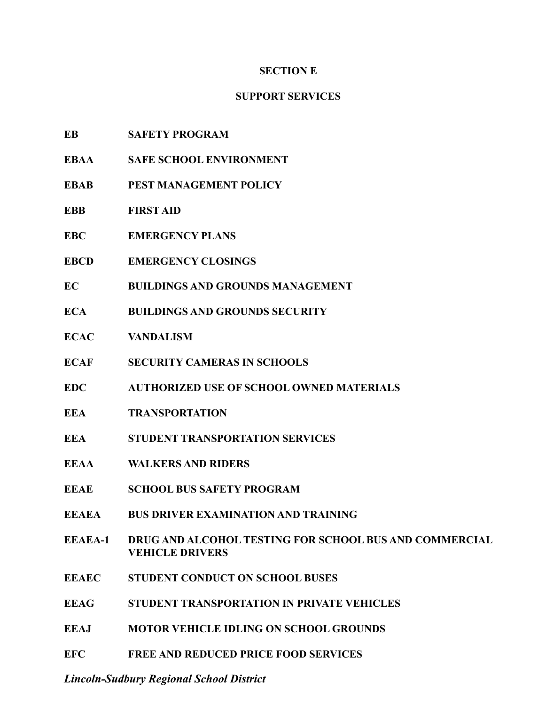# **SECTION E**

# **SUPPORT SERVICES**

- **EB SAFETY PROGRAM**
- **EBAA SAFE SCHOOL ENVIRONMENT**
- **EBAB PEST MANAGEMENT POLICY**
- **EBB FIRST AID**
- **EBC EMERGENCY PLANS**
- **EBCD EMERGENCY CLOSINGS**
- **EC BUILDINGS AND GROUNDS MANAGEMENT**
- **ECA BUILDINGS AND GROUNDS SECURITY**
- **ECAC VANDALISM**
- **ECAF SECURITY CAMERAS IN SCHOOLS**
- **EDC AUTHORIZED USE OF SCHOOL OWNED MATERIALS**
- **EEA TRANSPORTATION**
- **EEA STUDENT TRANSPORTATION SERVICES**
- **EEAA WALKERS AND RIDERS**
- **EEAE SCHOOL BUS SAFETY PROGRAM**
- **EEAEA BUS DRIVER EXAMINATION AND TRAINING**
- **EEAEA-1 DRUG AND ALCOHOL TESTING FOR SCHOOL BUS AND COMMERCIAL VEHICLE DRIVERS**
- **EEAEC STUDENT CONDUCT ON SCHOOL BUSES**
- **EEAG STUDENT TRANSPORTATION IN PRIVATE VEHICLES**
- **EEAJ MOTOR VEHICLE IDLING ON SCHOOL GROUNDS**
- **EFC FREE AND REDUCED PRICE FOOD SERVICES**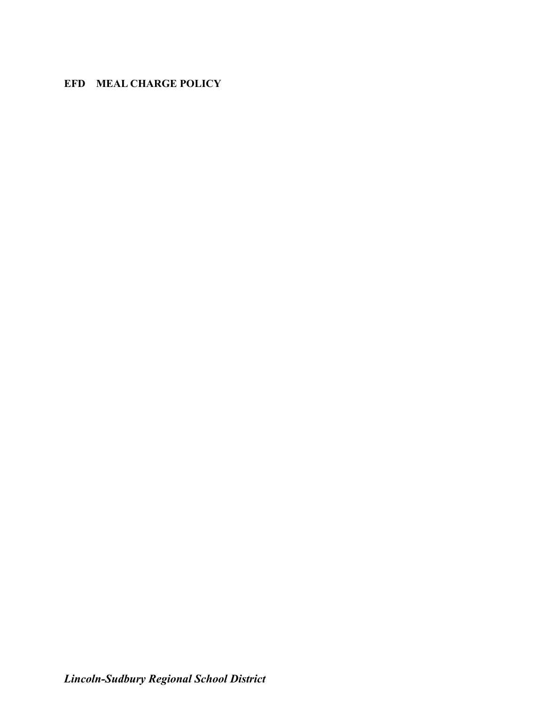# **EFD MEAL CHARGE POLICY**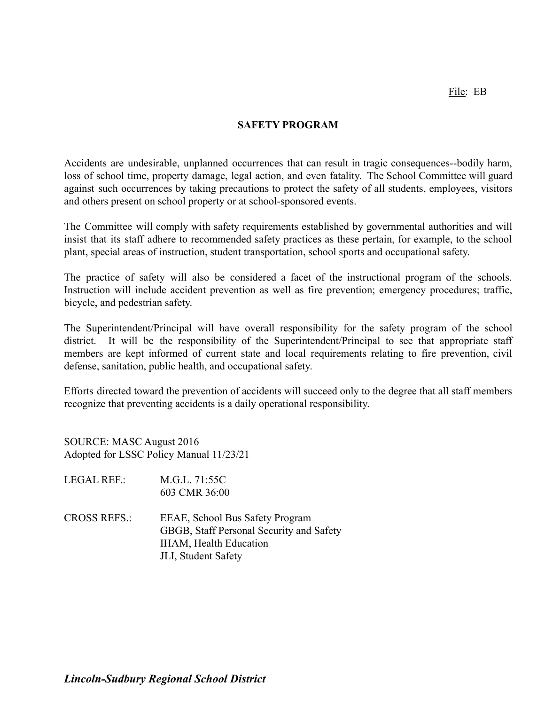File: EB

# **SAFETY PROGRAM**

Accidents are undesirable, unplanned occurrences that can result in tragic consequences--bodily harm, loss of school time, property damage, legal action, and even fatality. The School Committee will guard against such occurrences by taking precautions to protect the safety of all students, employees, visitors and others present on school property or at school-sponsored events.

The Committee will comply with safety requirements established by governmental authorities and will insist that its staff adhere to recommended safety practices as these pertain, for example, to the school plant, special areas of instruction, student transportation, school sports and occupational safety.

The practice of safety will also be considered a facet of the instructional program of the schools. Instruction will include accident prevention as well as fire prevention; emergency procedures; traffic, bicycle, and pedestrian safety.

The Superintendent/Principal will have overall responsibility for the safety program of the school district. It will be the responsibility of the Superintendent/Principal to see that appropriate staff members are kept informed of current state and local requirements relating to fire prevention, civil defense, sanitation, public health, and occupational safety.

Efforts directed toward the prevention of accidents will succeed only to the degree that all staff members recognize that preventing accidents is a daily operational responsibility.

SOURCE: MASC August 2016 Adopted for LSSC Policy Manual 11/23/21

- LEGAL REF.: M.G.L. 71:55C 603 CMR 36:00
- CROSS REFS.: EEAE, School Bus Safety Program GBGB, Staff Personal Security and Safety IHAM, Health Education JLI, Student Safety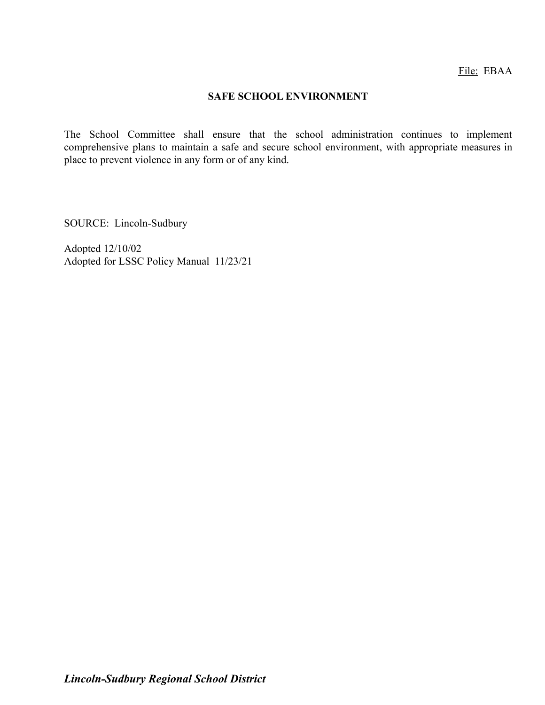#### **SAFE SCHOOL ENVIRONMENT**

The School Committee shall ensure that the school administration continues to implement comprehensive plans to maintain a safe and secure school environment, with appropriate measures in place to prevent violence in any form or of any kind.

SOURCE: Lincoln-Sudbury

Adopted 12/10/02 Adopted for LSSC Policy Manual 11/23/21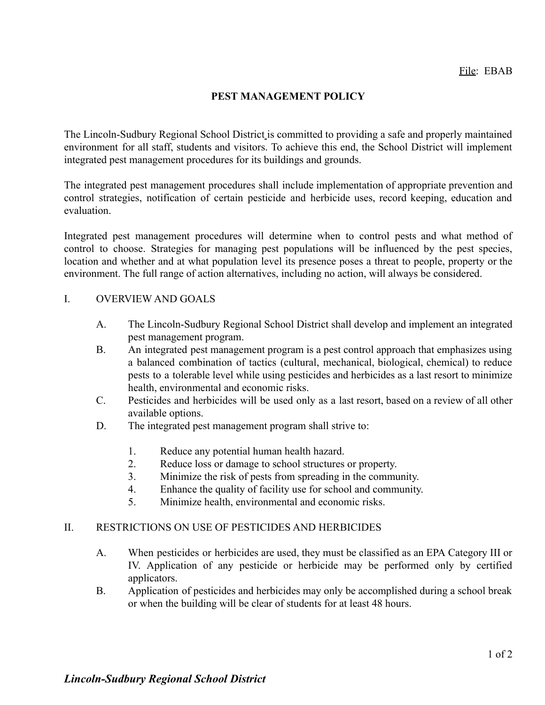# **PEST MANAGEMENT POLICY**

The Lincoln-Sudbury Regional School District is committed to providing a safe and properly maintained environment for all staff, students and visitors. To achieve this end, the School District will implement integrated pest management procedures for its buildings and grounds.

The integrated pest management procedures shall include implementation of appropriate prevention and control strategies, notification of certain pesticide and herbicide uses, record keeping, education and evaluation.

Integrated pest management procedures will determine when to control pests and what method of control to choose. Strategies for managing pest populations will be influenced by the pest species, location and whether and at what population level its presence poses a threat to people, property or the environment. The full range of action alternatives, including no action, will always be considered.

#### I. OVERVIEW AND GOALS

- A. The Lincoln-Sudbury Regional School District shall develop and implement an integrated pest management program.
- B. An integrated pest management program is a pest control approach that emphasizes using a balanced combination of tactics (cultural, mechanical, biological, chemical) to reduce pests to a tolerable level while using pesticides and herbicides as a last resort to minimize health, environmental and economic risks.
- C. Pesticides and herbicides will be used only as a last resort, based on a review of all other available options.
- D. The integrated pest management program shall strive to:
	- 1. Reduce any potential human health hazard.
	- 2. Reduce loss or damage to school structures or property.
	- 3. Minimize the risk of pests from spreading in the community.
	- 4. Enhance the quality of facility use for school and community.
	- 5. Minimize health, environmental and economic risks.

#### II. RESTRICTIONS ON USE OF PESTICIDES AND HERBICIDES

- A. When pesticides or herbicides are used, they must be classified as an EPA Category III or IV. Application of any pesticide or herbicide may be performed only by certified applicators.
- B. Application of pesticides and herbicides may only be accomplished during a school break or when the building will be clear of students for at least 48 hours.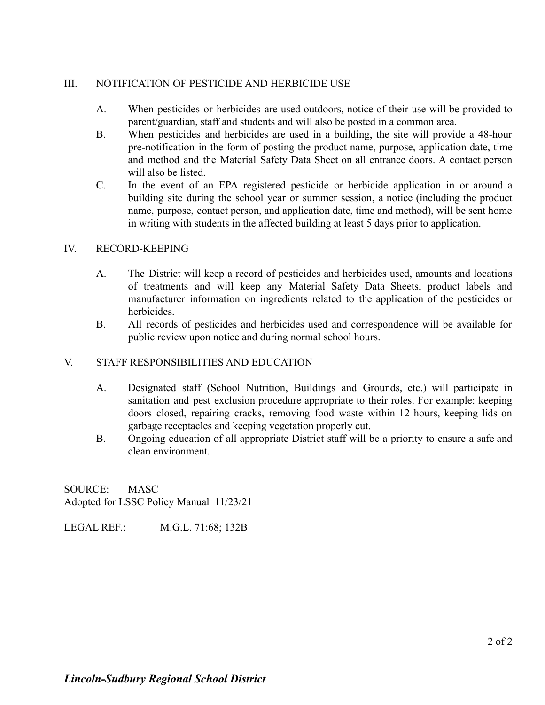# III. NOTIFICATION OF PESTICIDE AND HERBICIDE USE

- A. When pesticides or herbicides are used outdoors, notice of their use will be provided to parent/guardian, staff and students and will also be posted in a common area.
- B. When pesticides and herbicides are used in a building, the site will provide a 48-hour pre-notification in the form of posting the product name, purpose, application date, time and method and the Material Safety Data Sheet on all entrance doors. A contact person will also be listed.
- C. In the event of an EPA registered pesticide or herbicide application in or around a building site during the school year or summer session, a notice (including the product name, purpose, contact person, and application date, time and method), will be sent home in writing with students in the affected building at least 5 days prior to application.

# IV. RECORD-KEEPING

- A. The District will keep a record of pesticides and herbicides used, amounts and locations of treatments and will keep any Material Safety Data Sheets, product labels and manufacturer information on ingredients related to the application of the pesticides or herbicides.
- B. All records of pesticides and herbicides used and correspondence will be available for public review upon notice and during normal school hours.

# V. STAFF RESPONSIBILITIES AND EDUCATION

- A. Designated staff (School Nutrition, Buildings and Grounds, etc.) will participate in sanitation and pest exclusion procedure appropriate to their roles. For example: keeping doors closed, repairing cracks, removing food waste within 12 hours, keeping lids on garbage receptacles and keeping vegetation properly cut.
- B. Ongoing education of all appropriate District staff will be a priority to ensure a safe and clean environment.

SOURCE: MASC Adopted for LSSC Policy Manual 11/23/21

LEGAL REF.: M.G.L. 71:68; 132B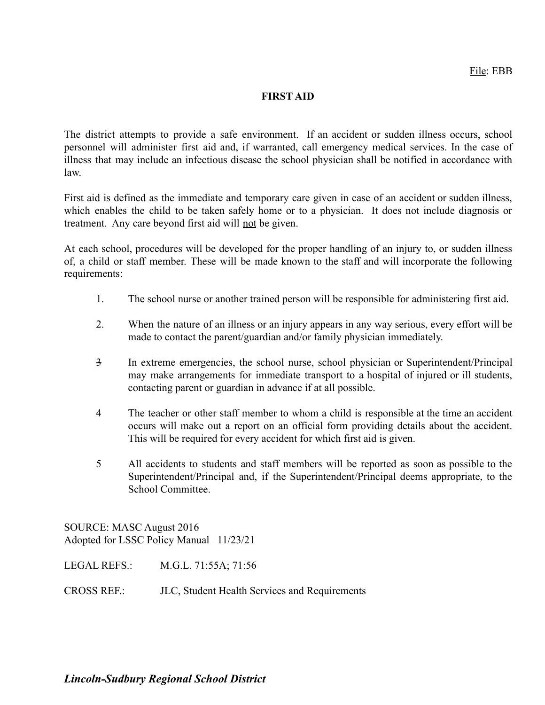#### **FIRST AID**

The district attempts to provide a safe environment. If an accident or sudden illness occurs, school personnel will administer first aid and, if warranted, call emergency medical services. In the case of illness that may include an infectious disease the school physician shall be notified in accordance with law.

First aid is defined as the immediate and temporary care given in case of an accident or sudden illness, which enables the child to be taken safely home or to a physician. It does not include diagnosis or treatment. Any care beyond first aid will not be given.

At each school, procedures will be developed for the proper handling of an injury to, or sudden illness of, a child or staff member. These will be made known to the staff and will incorporate the following requirements:

- 1. The school nurse or another trained person will be responsible for administering first aid.
- 2. When the nature of an illness or an injury appears in any way serious, every effort will be made to contact the parent/guardian and/or family physician immediately.
- 3 In extreme emergencies, the school nurse, school physician or Superintendent/Principal may make arrangements for immediate transport to a hospital of injured or ill students, contacting parent or guardian in advance if at all possible.
- 4 The teacher or other staff member to whom a child is responsible at the time an accident occurs will make out a report on an official form providing details about the accident. This will be required for every accident for which first aid is given.
- 5 All accidents to students and staff members will be reported as soon as possible to the Superintendent/Principal and, if the Superintendent/Principal deems appropriate, to the School Committee.

SOURCE: MASC August 2016 Adopted for LSSC Policy Manual 11/23/21

LEGAL REFS.: M.G.L. 71:55A; 71:56

CROSS REF.: JLC, Student Health Services and Requirements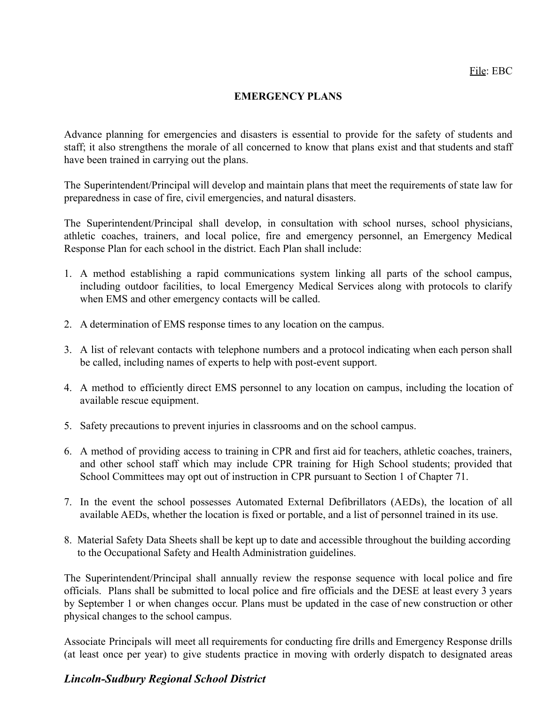# **EMERGENCY PLANS**

Advance planning for emergencies and disasters is essential to provide for the safety of students and staff; it also strengthens the morale of all concerned to know that plans exist and that students and staff have been trained in carrying out the plans.

The Superintendent/Principal will develop and maintain plans that meet the requirements of state law for preparedness in case of fire, civil emergencies, and natural disasters.

The Superintendent/Principal shall develop, in consultation with school nurses, school physicians, athletic coaches, trainers, and local police, fire and emergency personnel, an Emergency Medical Response Plan for each school in the district. Each Plan shall include:

- 1. A method establishing a rapid communications system linking all parts of the school campus, including outdoor facilities, to local Emergency Medical Services along with protocols to clarify when EMS and other emergency contacts will be called.
- 2. A determination of EMS response times to any location on the campus.
- 3. A list of relevant contacts with telephone numbers and a protocol indicating when each person shall be called, including names of experts to help with post-event support.
- 4. A method to efficiently direct EMS personnel to any location on campus, including the location of available rescue equipment.
- 5. Safety precautions to prevent injuries in classrooms and on the school campus.
- 6. A method of providing access to training in CPR and first aid for teachers, athletic coaches, trainers, and other school staff which may include CPR training for High School students; provided that School Committees may opt out of instruction in CPR pursuant to Section 1 of Chapter 71.
- 7. In the event the school possesses Automated External Defibrillators (AEDs), the location of all available AEDs, whether the location is fixed or portable, and a list of personnel trained in its use.
- 8. Material Safety Data Sheets shall be kept up to date and accessible throughout the building according to the Occupational Safety and Health Administration guidelines.

The Superintendent/Principal shall annually review the response sequence with local police and fire officials. Plans shall be submitted to local police and fire officials and the DESE at least every 3 years by September 1 or when changes occur. Plans must be updated in the case of new construction or other physical changes to the school campus.

Associate Principals will meet all requirements for conducting fire drills and Emergency Response drills (at least once per year) to give students practice in moving with orderly dispatch to designated areas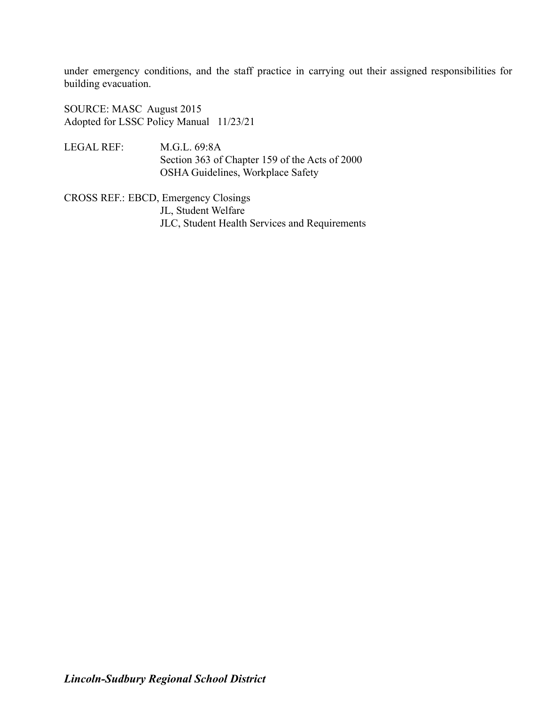under emergency conditions, and the staff practice in carrying out their assigned responsibilities for building evacuation.

SOURCE: MASC August 2015 Adopted for LSSC Policy Manual 11/23/21

LEGAL REF: M.G.L. 69:8A Section 363 of Chapter 159 of the Acts of 2000 OSHA Guidelines, Workplace Safety

CROSS REF.: EBCD, Emergency Closings JL, Student Welfare JLC, Student Health Services and Requirements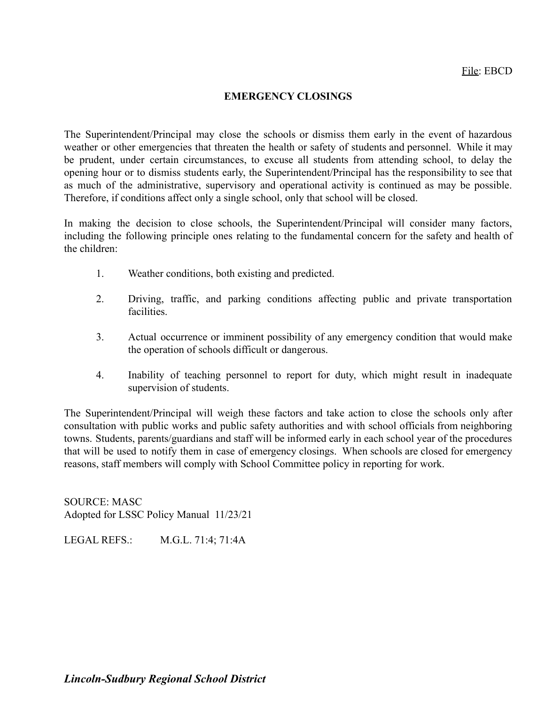# **EMERGENCY CLOSINGS**

The Superintendent/Principal may close the schools or dismiss them early in the event of hazardous weather or other emergencies that threaten the health or safety of students and personnel. While it may be prudent, under certain circumstances, to excuse all students from attending school, to delay the opening hour or to dismiss students early, the Superintendent/Principal has the responsibility to see that as much of the administrative, supervisory and operational activity is continued as may be possible. Therefore, if conditions affect only a single school, only that school will be closed.

In making the decision to close schools, the Superintendent/Principal will consider many factors, including the following principle ones relating to the fundamental concern for the safety and health of the children:

- 1. Weather conditions, both existing and predicted.
- 2. Driving, traffic, and parking conditions affecting public and private transportation facilities.
- 3. Actual occurrence or imminent possibility of any emergency condition that would make the operation of schools difficult or dangerous.
- 4. Inability of teaching personnel to report for duty, which might result in inadequate supervision of students.

The Superintendent/Principal will weigh these factors and take action to close the schools only after consultation with public works and public safety authorities and with school officials from neighboring towns. Students, parents/guardians and staff will be informed early in each school year of the procedures that will be used to notify them in case of emergency closings. When schools are closed for emergency reasons, staff members will comply with School Committee policy in reporting for work.

SOURCE: MASC Adopted for LSSC Policy Manual 11/23/21

LEGAL REFS.: M.G.L. 71:4; 71:4A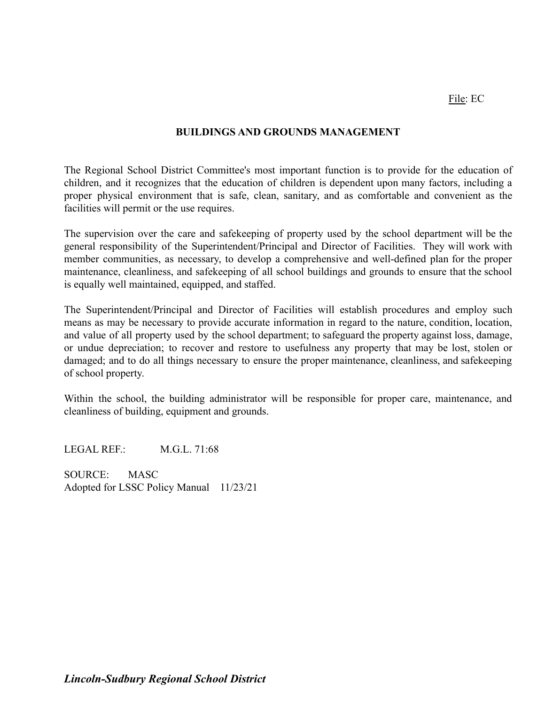# **BUILDINGS AND GROUNDS MANAGEMENT**

The Regional School District Committee's most important function is to provide for the education of children, and it recognizes that the education of children is dependent upon many factors, including a proper physical environment that is safe, clean, sanitary, and as comfortable and convenient as the facilities will permit or the use requires.

The supervision over the care and safekeeping of property used by the school department will be the general responsibility of the Superintendent/Principal and Director of Facilities. They will work with member communities, as necessary, to develop a comprehensive and well-defined plan for the proper maintenance, cleanliness, and safekeeping of all school buildings and grounds to ensure that the school is equally well maintained, equipped, and staffed.

The Superintendent/Principal and Director of Facilities will establish procedures and employ such means as may be necessary to provide accurate information in regard to the nature, condition, location, and value of all property used by the school department; to safeguard the property against loss, damage, or undue depreciation; to recover and restore to usefulness any property that may be lost, stolen or damaged; and to do all things necessary to ensure the proper maintenance, cleanliness, and safekeeping of school property.

Within the school, the building administrator will be responsible for proper care, maintenance, and cleanliness of building, equipment and grounds.

LEGAL REF. M.G.L. 71:68

SOURCE: MASC Adopted for LSSC Policy Manual 11/23/21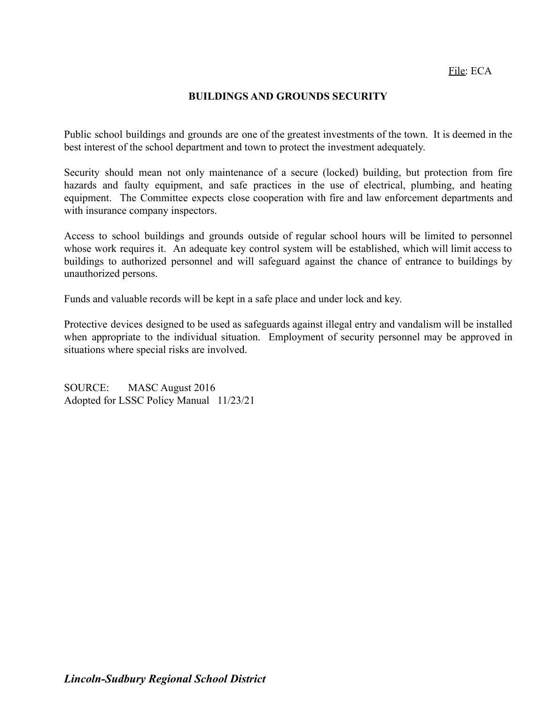#### **BUILDINGS AND GROUNDS SECURITY**

Public school buildings and grounds are one of the greatest investments of the town. It is deemed in the best interest of the school department and town to protect the investment adequately.

Security should mean not only maintenance of a secure (locked) building, but protection from fire hazards and faulty equipment, and safe practices in the use of electrical, plumbing, and heating equipment. The Committee expects close cooperation with fire and law enforcement departments and with insurance company inspectors.

Access to school buildings and grounds outside of regular school hours will be limited to personnel whose work requires it. An adequate key control system will be established, which will limit access to buildings to authorized personnel and will safeguard against the chance of entrance to buildings by unauthorized persons.

Funds and valuable records will be kept in a safe place and under lock and key.

Protective devices designed to be used as safeguards against illegal entry and vandalism will be installed when appropriate to the individual situation. Employment of security personnel may be approved in situations where special risks are involved.

SOURCE: MASC August 2016 Adopted for LSSC Policy Manual 11/23/21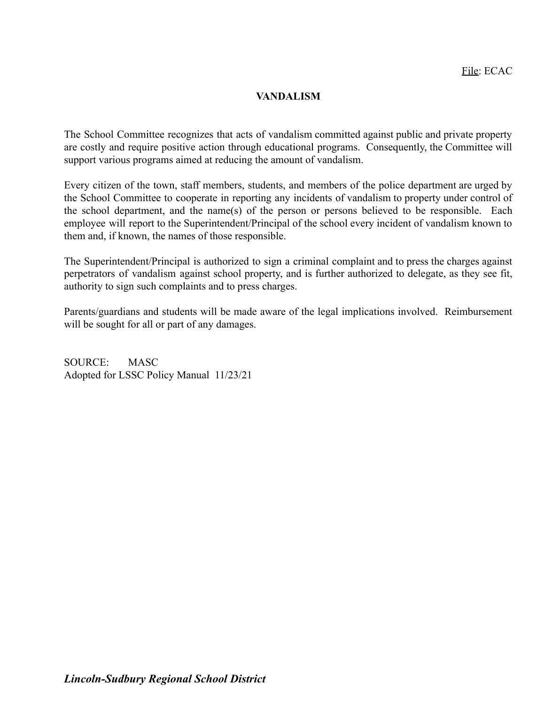# **VANDALISM**

The School Committee recognizes that acts of vandalism committed against public and private property are costly and require positive action through educational programs. Consequently, the Committee will support various programs aimed at reducing the amount of vandalism.

Every citizen of the town, staff members, students, and members of the police department are urged by the School Committee to cooperate in reporting any incidents of vandalism to property under control of the school department, and the name(s) of the person or persons believed to be responsible. Each employee will report to the Superintendent/Principal of the school every incident of vandalism known to them and, if known, the names of those responsible.

The Superintendent/Principal is authorized to sign a criminal complaint and to press the charges against perpetrators of vandalism against school property, and is further authorized to delegate, as they see fit, authority to sign such complaints and to press charges.

Parents/guardians and students will be made aware of the legal implications involved. Reimbursement will be sought for all or part of any damages.

SOURCE: MASC Adopted for LSSC Policy Manual 11/23/21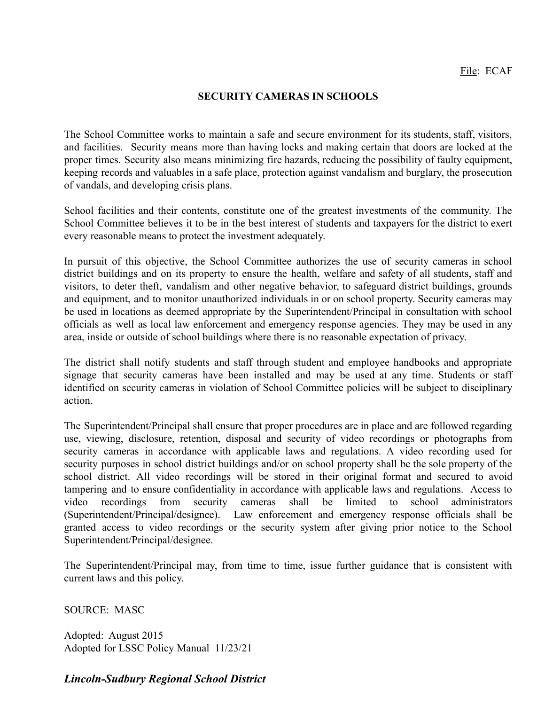## **SECURITY CAMERAS IN SCHOOLS**

The School Committee works to maintain a safe and secure environment for its students, staff, visitors, and facilities. Security means more than having locks and making certain that doors are locked at the proper times. Security also means minimizing fire hazards, reducing the possibility of faulty equipment, keeping records and valuables in a safe place, protection against vandalism and burglary, the prosecution of vandals, and developing crisis plans.

School facilities and their contents, constitute one of the greatest investments of the community. The School Committee believes it to be in the best interest of students and taxpayers for the district to exert every reasonable means to protect the investment adequately.

In pursuit of this objective, the School Committee authorizes the use of security cameras in school district buildings and on its property to ensure the health, welfare and safety of all students, staff and visitors, to deter theft, vandalism and other negative behavior, to safeguard district buildings, grounds and equipment, and to monitor unauthorized individuals in or on school property. Security cameras may be used in locations as deemed appropriate by the Superintendent/Principal in consultation with school officials as well as local law enforcement and emergency response agencies. They may be used in any area, inside or outside of school buildings where there is no reasonable expectation of privacy.

The district shall notify students and staff through student and employee handbooks and appropriate signage that security cameras have been installed and may be used at any time. Students or staff identified on security cameras in violation of School Committee policies will be subject to disciplinary action.

The Superintendent/Principal shall ensure that proper procedures are in place and are followed regarding use, viewing, disclosure, retention, disposal and security of video recordings or photographs from security cameras in accordance with applicable laws and regulations. A video recording used for security purposes in school district buildings and/or on school property shall be the sole property of the school district. All video recordings will be stored in their original format and secured to avoid tampering and to ensure confidentiality in accordance with applicable laws and regulations. Access to video recordings from security cameras shall be limited to school administrators (Superintendent/Principal/designee). Law enforcement and emergency response officials shall be granted access to video recordings or the security system after giving prior notice to the School Superintendent/Principal/designee.

The Superintendent/Principal may, from time to time, issue further guidance that is consistent with current laws and this policy.

SOURCE: MASC

Adopted: August 2015 Adopted for LSSC Policy Manual 11/23/21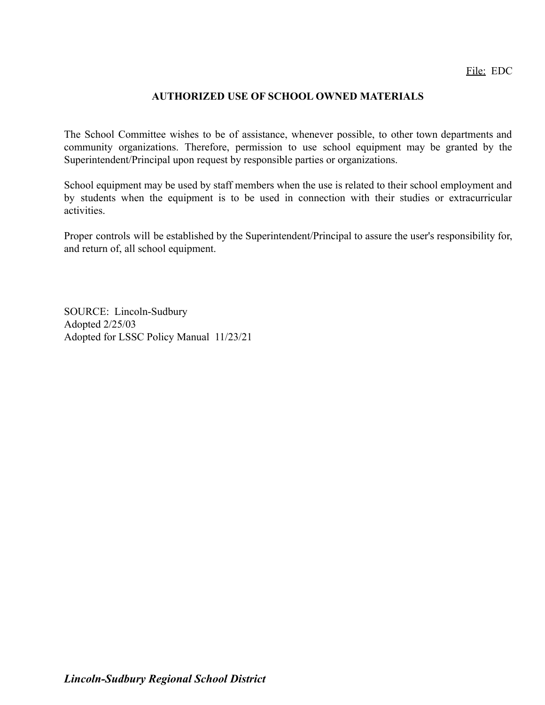File: EDC

## **AUTHORIZED USE OF SCHOOL OWNED MATERIALS**

The School Committee wishes to be of assistance, whenever possible, to other town departments and community organizations. Therefore, permission to use school equipment may be granted by the Superintendent/Principal upon request by responsible parties or organizations.

School equipment may be used by staff members when the use is related to their school employment and by students when the equipment is to be used in connection with their studies or extracurricular activities.

Proper controls will be established by the Superintendent/Principal to assure the user's responsibility for, and return of, all school equipment.

SOURCE: Lincoln-Sudbury Adopted 2/25/03 Adopted for LSSC Policy Manual 11/23/21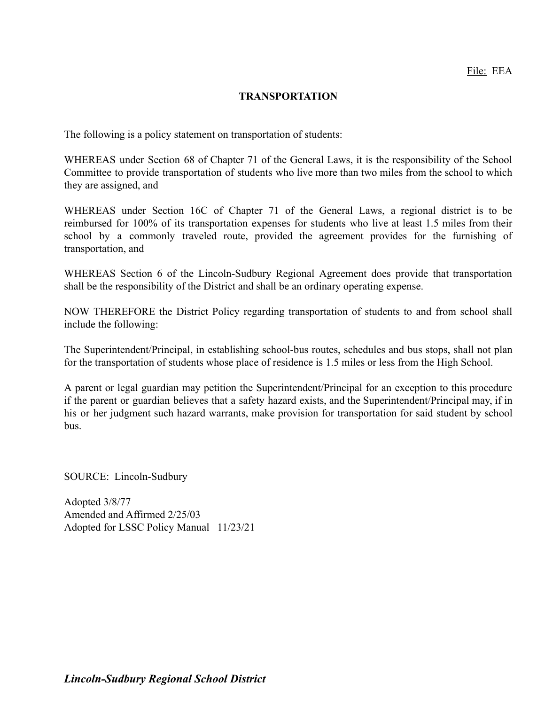## **TRANSPORTATION**

The following is a policy statement on transportation of students:

WHEREAS under Section 68 of Chapter 71 of the General Laws, it is the responsibility of the School Committee to provide transportation of students who live more than two miles from the school to which they are assigned, and

WHEREAS under Section 16C of Chapter 71 of the General Laws, a regional district is to be reimbursed for 100% of its transportation expenses for students who live at least 1.5 miles from their school by a commonly traveled route, provided the agreement provides for the furnishing of transportation, and

WHEREAS Section 6 of the Lincoln-Sudbury Regional Agreement does provide that transportation shall be the responsibility of the District and shall be an ordinary operating expense.

NOW THEREFORE the District Policy regarding transportation of students to and from school shall include the following:

The Superintendent/Principal, in establishing school-bus routes, schedules and bus stops, shall not plan for the transportation of students whose place of residence is 1.5 miles or less from the High School.

A parent or legal guardian may petition the Superintendent/Principal for an exception to this procedure if the parent or guardian believes that a safety hazard exists, and the Superintendent/Principal may, if in his or her judgment such hazard warrants, make provision for transportation for said student by school bus.

SOURCE: Lincoln-Sudbury

Adopted 3/8/77 Amended and Affirmed 2/25/03 Adopted for LSSC Policy Manual 11/23/21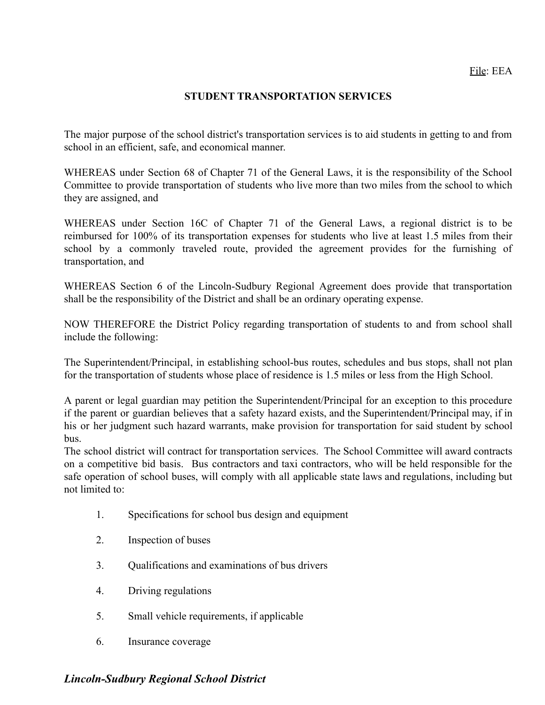## **STUDENT TRANSPORTATION SERVICES**

The major purpose of the school district's transportation services is to aid students in getting to and from school in an efficient, safe, and economical manner.

WHEREAS under Section 68 of Chapter 71 of the General Laws, it is the responsibility of the School Committee to provide transportation of students who live more than two miles from the school to which they are assigned, and

WHEREAS under Section 16C of Chapter 71 of the General Laws, a regional district is to be reimbursed for 100% of its transportation expenses for students who live at least 1.5 miles from their school by a commonly traveled route, provided the agreement provides for the furnishing of transportation, and

WHEREAS Section 6 of the Lincoln-Sudbury Regional Agreement does provide that transportation shall be the responsibility of the District and shall be an ordinary operating expense.

NOW THEREFORE the District Policy regarding transportation of students to and from school shall include the following:

The Superintendent/Principal, in establishing school-bus routes, schedules and bus stops, shall not plan for the transportation of students whose place of residence is 1.5 miles or less from the High School.

A parent or legal guardian may petition the Superintendent/Principal for an exception to this procedure if the parent or guardian believes that a safety hazard exists, and the Superintendent/Principal may, if in his or her judgment such hazard warrants, make provision for transportation for said student by school bus.

The school district will contract for transportation services. The School Committee will award contracts on a competitive bid basis. Bus contractors and taxi contractors, who will be held responsible for the safe operation of school buses, will comply with all applicable state laws and regulations, including but not limited to:

- 1. Specifications for school bus design and equipment
- 2. Inspection of buses
- 3. Qualifications and examinations of bus drivers
- 4. Driving regulations
- 5. Small vehicle requirements, if applicable
- 6. Insurance coverage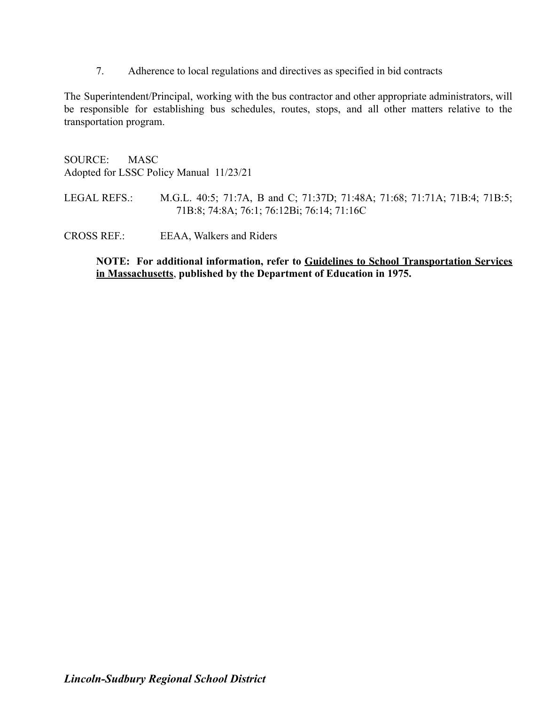7. Adherence to local regulations and directives as specified in bid contracts

The Superintendent/Principal, working with the bus contractor and other appropriate administrators, will be responsible for establishing bus schedules, routes, stops, and all other matters relative to the transportation program.

SOURCE: MASC Adopted for LSSC Policy Manual 11/23/21

LEGAL REFS.: M.G.L. 40:5; 71:7A, B and C; 71:37D; 71:48A; 71:68; 71:71A; 71B:4; 71B:5; 71B:8; 74:8A; 76:1; 76:12Bi; 76:14; 71:16C

CROSS REF.: EEAA, Walkers and Riders

**NOTE: For additional information, refer to Guidelines to School Transportation Services in Massachusetts**, **published by the Department of Education in 1975.**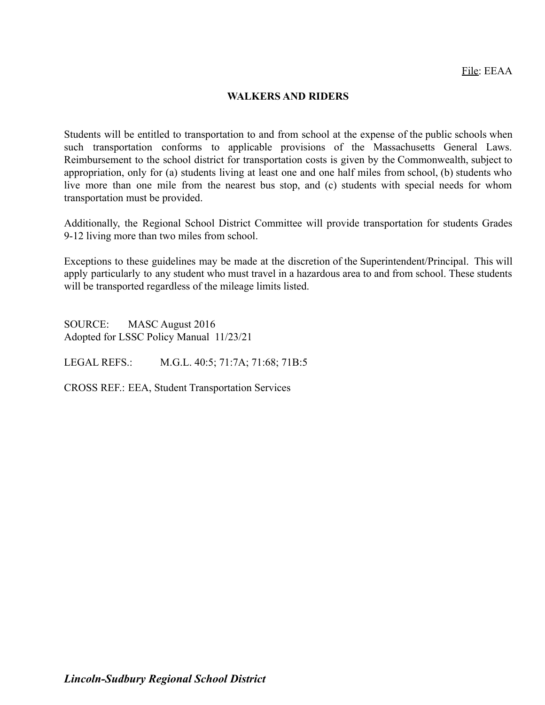#### **WALKERS AND RIDERS**

Students will be entitled to transportation to and from school at the expense of the public schools when such transportation conforms to applicable provisions of the Massachusetts General Laws. Reimbursement to the school district for transportation costs is given by the Commonwealth, subject to appropriation, only for (a) students living at least one and one half miles from school, (b) students who live more than one mile from the nearest bus stop, and (c) students with special needs for whom transportation must be provided.

Additionally, the Regional School District Committee will provide transportation for students Grades 9-12 living more than two miles from school.

Exceptions to these guidelines may be made at the discretion of the Superintendent/Principal. This will apply particularly to any student who must travel in a hazardous area to and from school. These students will be transported regardless of the mileage limits listed.

SOURCE: MASC August 2016 Adopted for LSSC Policy Manual 11/23/21

LEGAL REFS.: M.G.L. 40:5; 71:7A; 71:68; 71B:5

CROSS REF.: EEA, Student Transportation Services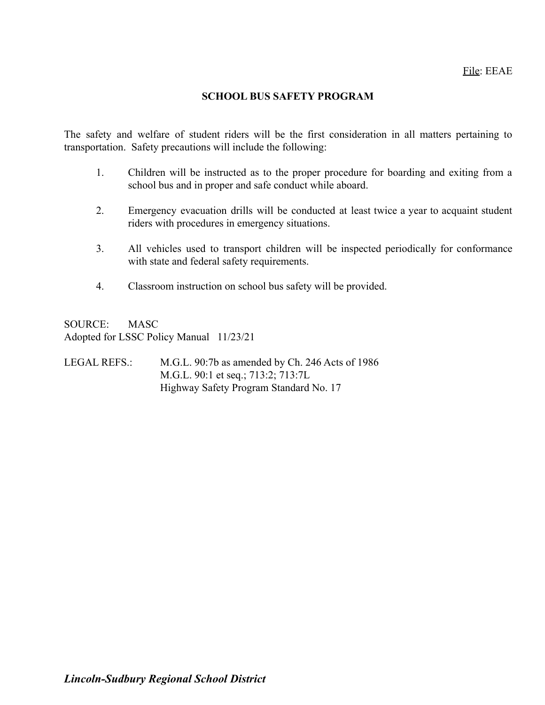#### **SCHOOL BUS SAFETY PROGRAM**

The safety and welfare of student riders will be the first consideration in all matters pertaining to transportation. Safety precautions will include the following:

- 1. Children will be instructed as to the proper procedure for boarding and exiting from a school bus and in proper and safe conduct while aboard.
- 2. Emergency evacuation drills will be conducted at least twice a year to acquaint student riders with procedures in emergency situations.
- 3. All vehicles used to transport children will be inspected periodically for conformance with state and federal safety requirements.
- 4. Classroom instruction on school bus safety will be provided.

SOURCE: MASC Adopted for LSSC Policy Manual 11/23/21

LEGAL REFS.: M.G.L. 90:7b as amended by Ch. 246 Acts of 1986 M.G.L. 90:1 et seq.; 713:2; 713:7L Highway Safety Program Standard No. 17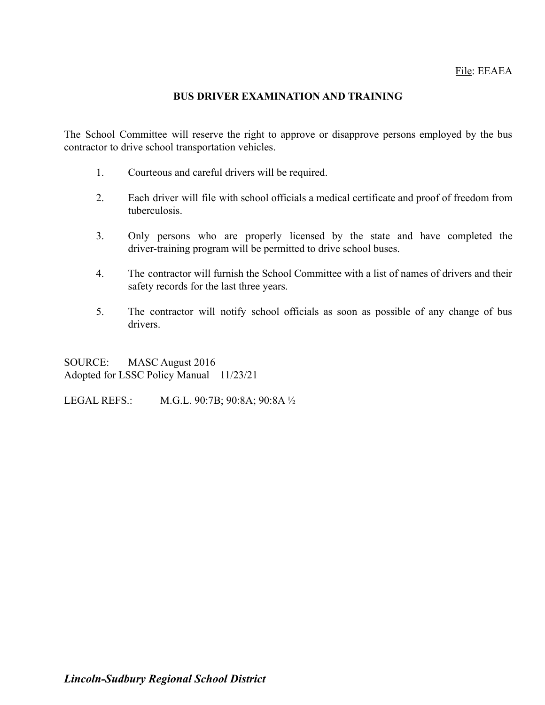# **BUS DRIVER EXAMINATION AND TRAINING**

The School Committee will reserve the right to approve or disapprove persons employed by the bus contractor to drive school transportation vehicles.

- 1. Courteous and careful drivers will be required.
- 2. Each driver will file with school officials a medical certificate and proof of freedom from tuberculosis.
- 3. Only persons who are properly licensed by the state and have completed the driver-training program will be permitted to drive school buses.
- 4. The contractor will furnish the School Committee with a list of names of drivers and their safety records for the last three years.
- 5. The contractor will notify school officials as soon as possible of any change of bus drivers.

SOURCE: MASC August 2016 Adopted for LSSC Policy Manual 11/23/21

LEGAL REFS.: M.G.L. 90:7B; 90:8A; 90:8A ½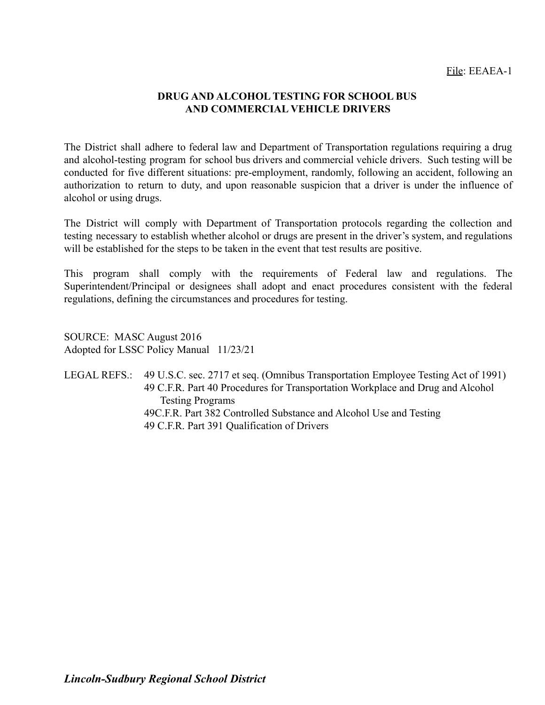# **DRUG AND ALCOHOL TESTING FOR SCHOOL BUS AND COMMERCIAL VEHICLE DRIVERS**

The District shall adhere to federal law and Department of Transportation regulations requiring a drug and alcohol-testing program for school bus drivers and commercial vehicle drivers. Such testing will be conducted for five different situations: pre-employment, randomly, following an accident, following an authorization to return to duty, and upon reasonable suspicion that a driver is under the influence of alcohol or using drugs.

The District will comply with Department of Transportation protocols regarding the collection and testing necessary to establish whether alcohol or drugs are present in the driver's system, and regulations will be established for the steps to be taken in the event that test results are positive.

This program shall comply with the requirements of Federal law and regulations. The Superintendent/Principal or designees shall adopt and enact procedures consistent with the federal regulations, defining the circumstances and procedures for testing.

SOURCE: MASC August 2016 Adopted for LSSC Policy Manual 11/23/21

LEGAL REFS.: 49 U.S.C. sec. 2717 et seq. (Omnibus Transportation Employee Testing Act of 1991) 49 C.F.R. Part 40 Procedures for Transportation Workplace and Drug and Alcohol Testing Programs 49C.F.R. Part 382 Controlled Substance and Alcohol Use and Testing 49 C.F.R. Part 391 Qualification of Drivers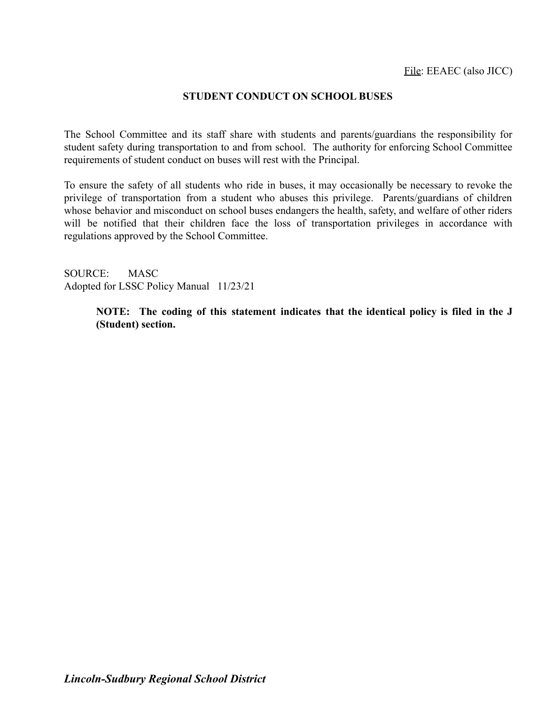#### **STUDENT CONDUCT ON SCHOOL BUSES**

The School Committee and its staff share with students and parents/guardians the responsibility for student safety during transportation to and from school. The authority for enforcing School Committee requirements of student conduct on buses will rest with the Principal.

To ensure the safety of all students who ride in buses, it may occasionally be necessary to revoke the privilege of transportation from a student who abuses this privilege. Parents/guardians of children whose behavior and misconduct on school buses endangers the health, safety, and welfare of other riders will be notified that their children face the loss of transportation privileges in accordance with regulations approved by the School Committee.

SOURCE: MASC Adopted for LSSC Policy Manual 11/23/21

> **NOTE: The coding of this statement indicates that the identical policy is filed in the J (Student) section.**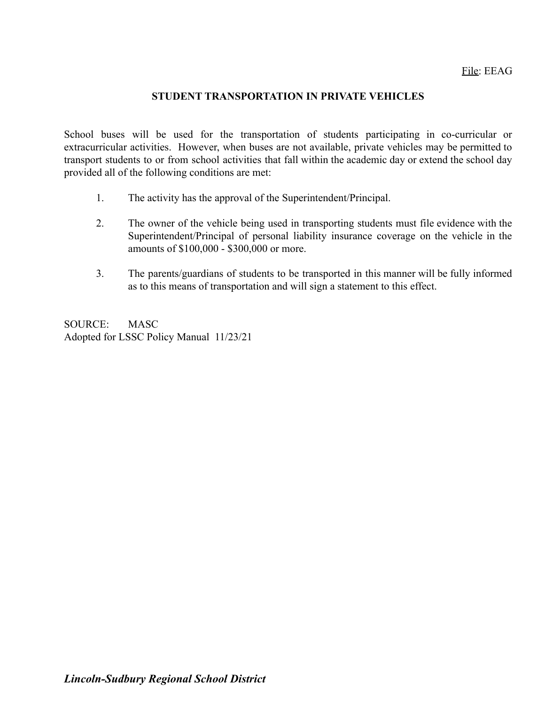## **STUDENT TRANSPORTATION IN PRIVATE VEHICLES**

School buses will be used for the transportation of students participating in co-curricular or extracurricular activities. However, when buses are not available, private vehicles may be permitted to transport students to or from school activities that fall within the academic day or extend the school day provided all of the following conditions are met:

- 1. The activity has the approval of the Superintendent/Principal.
- 2. The owner of the vehicle being used in transporting students must file evidence with the Superintendent/Principal of personal liability insurance coverage on the vehicle in the amounts of \$100,000 - \$300,000 or more.
- 3. The parents/guardians of students to be transported in this manner will be fully informed as to this means of transportation and will sign a statement to this effect.

SOURCE: MASC Adopted for LSSC Policy Manual 11/23/21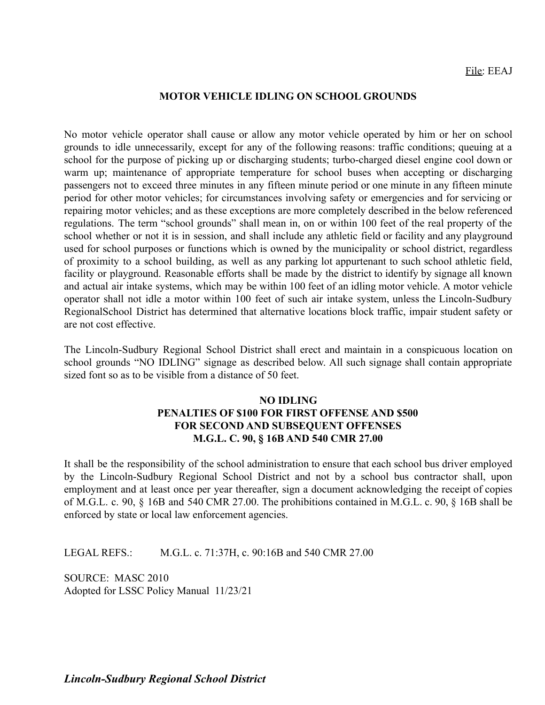#### **MOTOR VEHICLE IDLING ON SCHOOL GROUNDS**

No motor vehicle operator shall cause or allow any motor vehicle operated by him or her on school grounds to idle unnecessarily, except for any of the following reasons: traffic conditions; queuing at a school for the purpose of picking up or discharging students; turbo-charged diesel engine cool down or warm up; maintenance of appropriate temperature for school buses when accepting or discharging passengers not to exceed three minutes in any fifteen minute period or one minute in any fifteen minute period for other motor vehicles; for circumstances involving safety or emergencies and for servicing or repairing motor vehicles; and as these exceptions are more completely described in the below referenced regulations. The term "school grounds" shall mean in, on or within 100 feet of the real property of the school whether or not it is in session, and shall include any athletic field or facility and any playground used for school purposes or functions which is owned by the municipality or school district, regardless of proximity to a school building, as well as any parking lot appurtenant to such school athletic field, facility or playground. Reasonable efforts shall be made by the district to identify by signage all known and actual air intake systems, which may be within 100 feet of an idling motor vehicle. A motor vehicle operator shall not idle a motor within 100 feet of such air intake system, unless the Lincoln-Sudbury RegionalSchool District has determined that alternative locations block traffic, impair student safety or are not cost effective.

The Lincoln-Sudbury Regional School District shall erect and maintain in a conspicuous location on school grounds "NO IDLING" signage as described below. All such signage shall contain appropriate sized font so as to be visible from a distance of 50 feet.

# **NO IDLING PENALTIES OF \$100 FOR FIRST OFFENSE AND \$500 FOR SECOND AND SUBSEQUENT OFFENSES M.G.L. C. 90, § 16B AND 540 CMR 27.00**

It shall be the responsibility of the school administration to ensure that each school bus driver employed by the Lincoln-Sudbury Regional School District and not by a school bus contractor shall, upon employment and at least once per year thereafter, sign a document acknowledging the receipt of copies of M.G.L. c. 90, § 16B and 540 CMR 27.00. The prohibitions contained in M.G.L. c. 90, § 16B shall be enforced by state or local law enforcement agencies.

LEGAL REFS.: M.G.L. c. 71:37H, c. 90:16B and 540 CMR 27.00

SOURCE: MASC 2010 Adopted for LSSC Policy Manual 11/23/21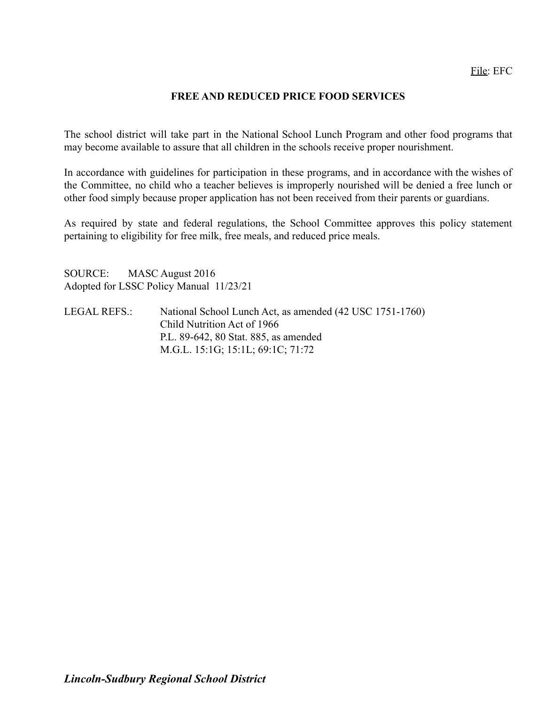# **FREE AND REDUCED PRICE FOOD SERVICES**

The school district will take part in the National School Lunch Program and other food programs that may become available to assure that all children in the schools receive proper nourishment.

In accordance with guidelines for participation in these programs, and in accordance with the wishes of the Committee, no child who a teacher believes is improperly nourished will be denied a free lunch or other food simply because proper application has not been received from their parents or guardians.

As required by state and federal regulations, the School Committee approves this policy statement pertaining to eligibility for free milk, free meals, and reduced price meals.

SOURCE: MASC August 2016 Adopted for LSSC Policy Manual 11/23/21

LEGAL REFS.: National School Lunch Act, as amended (42 USC 1751-1760) Child Nutrition Act of 1966 P.L. 89-642, 80 Stat. 885, as amended M.G.L. 15:1G; 15:1L; 69:1C; 71:72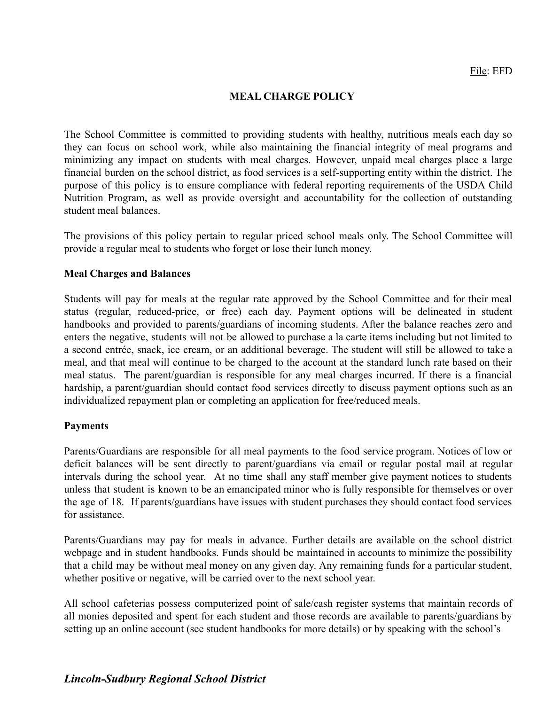#### **MEAL CHARGE POLICY**

The School Committee is committed to providing students with healthy, nutritious meals each day so they can focus on school work, while also maintaining the financial integrity of meal programs and minimizing any impact on students with meal charges. However, unpaid meal charges place a large financial burden on the school district, as food services is a self-supporting entity within the district. The purpose of this policy is to ensure compliance with federal reporting requirements of the USDA Child Nutrition Program, as well as provide oversight and accountability for the collection of outstanding student meal balances.

The provisions of this policy pertain to regular priced school meals only. The School Committee will provide a regular meal to students who forget or lose their lunch money.

#### **Meal Charges and Balances**

Students will pay for meals at the regular rate approved by the School Committee and for their meal status (regular, reduced-price, or free) each day. Payment options will be delineated in student handbooks and provided to parents/guardians of incoming students. After the balance reaches zero and enters the negative, students will not be allowed to purchase a la carte items including but not limited to a second entrée, snack, ice cream, or an additional beverage. The student will still be allowed to take a meal, and that meal will continue to be charged to the account at the standard lunch rate based on their meal status. The parent/guardian is responsible for any meal charges incurred. If there is a financial hardship, a parent/guardian should contact food services directly to discuss payment options such as an individualized repayment plan or completing an application for free/reduced meals.

#### **Payments**

Parents/Guardians are responsible for all meal payments to the food service program. Notices of low or deficit balances will be sent directly to parent/guardians via email or regular postal mail at regular intervals during the school year. At no time shall any staff member give payment notices to students unless that student is known to be an emancipated minor who is fully responsible for themselves or over the age of 18. If parents/guardians have issues with student purchases they should contact food services for assistance.

Parents/Guardians may pay for meals in advance. Further details are available on the school district webpage and in student handbooks. Funds should be maintained in accounts to minimize the possibility that a child may be without meal money on any given day. Any remaining funds for a particular student, whether positive or negative, will be carried over to the next school year.

All school cafeterias possess computerized point of sale/cash register systems that maintain records of all monies deposited and spent for each student and those records are available to parents/guardians by setting up an online account (see student handbooks for more details) or by speaking with the school's